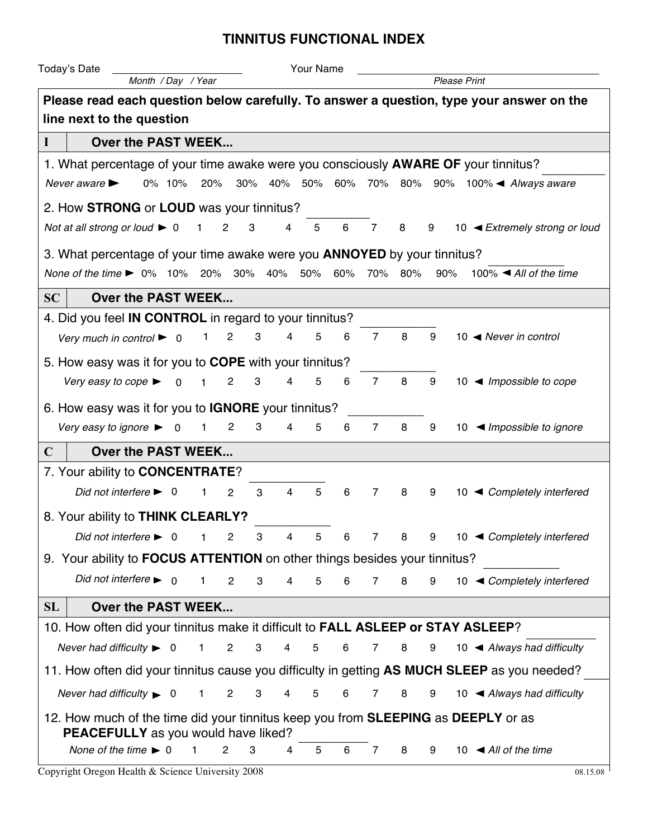## **TINNITUS FUNCTIONAL INDEX**

| Your Name<br>Today's Date                                                                                                                                                                       |                    |                         |                     |                                |                |                |                 |                 |                     |   |  |                                                 |  |  |
|-------------------------------------------------------------------------------------------------------------------------------------------------------------------------------------------------|--------------------|-------------------------|---------------------|--------------------------------|----------------|----------------|-----------------|-----------------|---------------------|---|--|-------------------------------------------------|--|--|
| Month / Day / Year                                                                                                                                                                              |                    |                         |                     |                                |                |                |                 |                 | <b>Please Print</b> |   |  |                                                 |  |  |
| Please read each question below carefully. To answer a question, type your answer on the                                                                                                        |                    |                         |                     |                                |                |                |                 |                 |                     |   |  |                                                 |  |  |
| line next to the question                                                                                                                                                                       |                    |                         |                     |                                |                |                |                 |                 |                     |   |  |                                                 |  |  |
| $\mathbf I$                                                                                                                                                                                     | Over the PAST WEEK |                         |                     |                                |                |                |                 |                 |                     |   |  |                                                 |  |  |
| 1. What percentage of your time awake were you consciously <b>AWARE OF</b> your tinnitus?                                                                                                       |                    |                         |                     |                                |                |                |                 |                 |                     |   |  |                                                 |  |  |
| Never aware $\blacktriangleright$                                                                                                                                                               | 0% 10%             |                         | 20%                 |                                |                |                |                 |                 |                     |   |  | 30% 40% 50% 60% 70% 80% 90% 100% ▲ Always aware |  |  |
| 2. How STRONG or LOUD was your tinnitus?                                                                                                                                                        |                    |                         |                     |                                |                |                |                 |                 |                     |   |  |                                                 |  |  |
| Not at all strong or loud $\triangleright$ 0                                                                                                                                                    |                    |                         | $\overline{c}$<br>1 | 3                              | 4              | 5              | $6\phantom{1}6$ | 7               | 8                   | 9 |  | 10 ◀ Extremely strong or loud                   |  |  |
|                                                                                                                                                                                                 |                    |                         |                     |                                |                |                |                 |                 |                     |   |  |                                                 |  |  |
| 3. What percentage of your time awake were you <b>ANNOYED</b> by your tinnitus?<br>100% $\blacktriangleleft$ All of the time<br>None of the time ▶ 0% 10% 20% 30% 40% 50% 60%<br>70% 80%<br>90% |                    |                         |                     |                                |                |                |                 |                 |                     |   |  |                                                 |  |  |
|                                                                                                                                                                                                 |                    |                         |                     |                                |                |                |                 |                 |                     |   |  |                                                 |  |  |
| SC<br>Over the PAST WEEK<br>4. Did you feel <b>IN CONTROL</b> in regard to your tinnitus?                                                                                                       |                    |                         |                     |                                |                |                |                 |                 |                     |   |  |                                                 |  |  |
|                                                                                                                                                                                                 |                    |                         |                     |                                |                |                |                 |                 |                     |   |  |                                                 |  |  |
| Very much in control $\blacktriangleright$ 0                                                                                                                                                    |                    |                         | 1                   | 2<br>3                         | 4              | 5              | 6               | $\overline{7}$  | 8                   | 9 |  | 10 $\blacktriangleleft$ Never in control        |  |  |
| 5. How easy was it for you to <b>COPE</b> with your tinnitus?                                                                                                                                   |                    |                         |                     |                                |                |                |                 |                 |                     |   |  |                                                 |  |  |
| Very easy to cope $\blacktriangleright$                                                                                                                                                         |                    | $\overline{\mathbf{0}}$ | $\overline{1}$      | $\overline{2}$<br>3            | 4              | 5              | 6               | $\overline{7}$  | 8                   | 9 |  | 10 $\blacktriangleleft$ Impossible to cope      |  |  |
| 6. How easy was it for you to <b>IGNORE</b> your tinnitus?                                                                                                                                      |                    |                         |                     |                                |                |                |                 |                 |                     |   |  |                                                 |  |  |
| Very easy to ignore $\blacktriangleright$                                                                                                                                                       |                    | $\overline{\mathbf{0}}$ | $\mathbf{1}$        | $\overline{c}$<br>3            | 4              | 5              | 6               | $\overline{7}$  | 8                   | 9 |  | 10 $\blacktriangleleft$ Impossible to ignore    |  |  |
| $\mathbf C$<br>Over the PAST WEEK                                                                                                                                                               |                    |                         |                     |                                |                |                |                 |                 |                     |   |  |                                                 |  |  |
| 7. Your ability to <b>CONCENTRATE?</b>                                                                                                                                                          |                    |                         |                     |                                |                |                |                 |                 |                     |   |  |                                                 |  |  |
| Did not interfere $\blacktriangleright$ 0                                                                                                                                                       |                    |                         | 1                   | $\overline{c}$<br>3            | 4              | 5              | 6               | $\overline{7}$  | 8                   | 9 |  | 10 ◀ Completely interfered                      |  |  |
| 8. Your ability to THINK CLEARLY?                                                                                                                                                               |                    |                         |                     |                                |                |                |                 |                 |                     |   |  |                                                 |  |  |
| Did not interfere $\blacktriangleright$ 0                                                                                                                                                       |                    |                         | $\overline{1}$      | $2^{\circ}$<br>-3              | $\overline{4}$ | 5              | 6               | $7^{\circ}$     | 8                   |   |  | 9 10 ◀ Completely interfered                    |  |  |
|                                                                                                                                                                                                 |                    |                         |                     |                                |                |                |                 |                 |                     |   |  |                                                 |  |  |
| 9. Your ability to <b>FOCUS ATTENTION</b> on other things besides your tinnitus?<br>Did not interfere $\blacktriangleright$ 0                                                                   |                    |                         |                     |                                |                |                |                 |                 |                     |   |  |                                                 |  |  |
|                                                                                                                                                                                                 |                    |                         | $\mathbf{1}$        | $\overline{c}$<br>3            | 4              | 5              | 6               | $\overline{7}$  | 8                   | 9 |  | 10 ◀ Completely interfered                      |  |  |
| SL<br>Over the PAST WEEK                                                                                                                                                                        |                    |                         |                     |                                |                |                |                 |                 |                     |   |  |                                                 |  |  |
| 10. How often did your tinnitus make it difficult to FALL ASLEEP or STAY ASLEEP?                                                                                                                |                    |                         |                     |                                |                |                |                 |                 |                     |   |  |                                                 |  |  |
| Never had difficulty $\triangleright$ 0                                                                                                                                                         |                    |                         | $\mathbf{1}$        | $\overline{2}$<br>3            | $\overline{4}$ | 5              | 6               | $7\overline{ }$ | 8                   | 9 |  | 10 $\blacktriangleleft$ Always had difficulty   |  |  |
| 11. How often did your tinnitus cause you difficulty in getting AS MUCH SLEEP as you needed?                                                                                                    |                    |                         |                     |                                |                |                |                 |                 |                     |   |  |                                                 |  |  |
| Never had difficulty $\triangleright$ 0                                                                                                                                                         |                    |                         | $\mathbf{1}$        | $\overline{2}$<br>$\mathbf{3}$ | $\overline{4}$ | $\overline{5}$ | 6               | 7               | 8                   | 9 |  | 10 $\blacktriangleleft$ Always had difficulty   |  |  |
| 12. How much of the time did your tinnitus keep you from <b>SLEEPING</b> as <b>DEEPLY</b> or as                                                                                                 |                    |                         |                     |                                |                |                |                 |                 |                     |   |  |                                                 |  |  |
| PEACEFULLY as you would have liked?                                                                                                                                                             |                    |                         |                     |                                |                |                |                 |                 |                     |   |  |                                                 |  |  |
| None of the time $\blacktriangleright$ 0                                                                                                                                                        |                    | $\mathbf{1}$            | $\mathbf{2}$        | 3                              | 4              | 5              | 6               | 7               | 8                   | 9 |  | 10 $\triangleleft$ All of the time              |  |  |